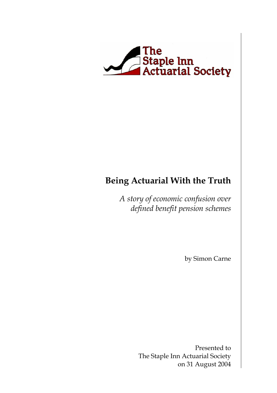

### **Being Actuarial With the Truth**

*A story of economic confusion over defined benefit pension schemes*

by Simon Carne

Presented to The Staple Inn Actuarial Society on 31 August 2004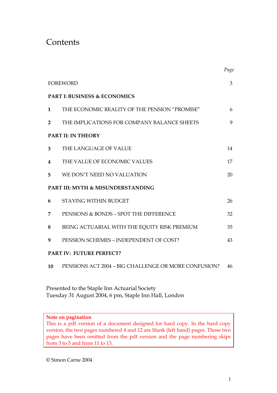### Contents

|                                              |                                                      | Page |  |  |
|----------------------------------------------|------------------------------------------------------|------|--|--|
|                                              | <b>FOREWORD</b>                                      | 3    |  |  |
| <b>PART I: BUSINESS &amp; ECONOMICS</b>      |                                                      |      |  |  |
| $\mathbf{1}$                                 | THE ECONOMIC REALITY OF THE PENSION "PROMISE"        | 6    |  |  |
| $\overline{2}$                               | THE IMPLICATIONS FOR COMPANY BALANCE SHEETS          | 9    |  |  |
| PART II: IN THEORY                           |                                                      |      |  |  |
| 3 <sup>5</sup>                               | THE LANGUAGE OF VALUE                                | 14   |  |  |
| 4                                            | THE VALUE OF ECONOMIC VALUES                         | 17   |  |  |
| 5                                            | WE DON'T NEED NO VALUATION                           | 20   |  |  |
| <b>PART III: MYTH &amp; MISUNDERSTANDING</b> |                                                      |      |  |  |
| 6                                            | <b>STAYING WITHIN BUDGET</b>                         | 26   |  |  |
| 7                                            | PENSIONS & BONDS - SPOT THE DIFFERENCE               | 32   |  |  |
| 8                                            | BEING ACTUARIAL WITH THE EQUITY RISK PREMIUM         | 35   |  |  |
| 9                                            | PENSION SCHEMES - INDEPENDENT OF COST?               | 43   |  |  |
| <b>PART IV: FUTURE PERFECT?</b>              |                                                      |      |  |  |
| 10                                           | PENSIONS ACT 2004 - BIG CHALLENGE OR MORE CONFUSION? | 46   |  |  |

Presented to the Staple Inn Actuarial Society Tuesday 31 August 2004, 6 pm, Staple Inn Hall, London

#### **Note on pagination**

This is a pdf version of a document designed for hard copy. In the hard copy version, the two pages numbered 4 and 12 are blank (left hand) pages. Those two pages have been omitted from the pdf version and the page numbering skips from 3 to 5 and from 11 to 13.

© Simon Carne 2004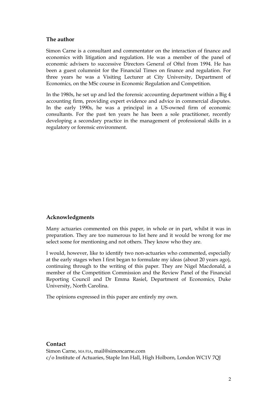#### **The author**

Simon Carne is a consultant and commentator on the interaction of finance and economics with litigation and regulation. He was a member of the panel of economic advisers to successive Directors General of Oftel from 1994. He has been a guest columnist for the Financial Times on finance and regulation. For three years he was a Visiting Lecturer at City University, Department of Economics, on the MSc course in Economic Regulation and Competition.

In the 1980s, he set up and led the forensic accounting department within a Big 4 accounting firm, providing expert evidence and advice in commercial disputes. In the early 1990s, he was a principal in a US-owned firm of economic consultants. For the past ten years he has been a sole practitioner, recently developing a secondary practice in the management of professional skills in a regulatory or forensic environment.

#### **Acknowledgments**

Many actuaries commented on this paper, in whole or in part, whilst it was in preparation. They are too numerous to list here and it would be wrong for me select some for mentioning and not others. They know who they are.

I would, however, like to identify two non-actuaries who commented, especially at the early stages when I first began to formulate my ideas (about 20 years ago), continuing through to the writing of this paper. They are Nigel Macdonald, a member of the Competition Commission and the Review Panel of the Financial Reporting Council and Dr Emma Rasiel, Department of Economics, Duke University, North Carolina.

The opinions expressed in this paper are entirely my own.

#### **Contact**

Simon Carne, MA FIA, mail@simoncarne.com c/o Institute of Actuaries, Staple Inn Hall, High Holborn, London WC1V 7QJ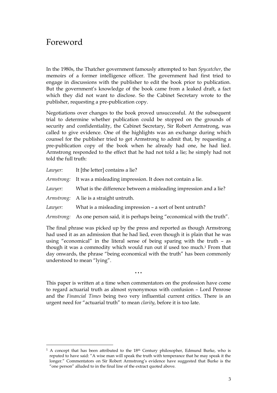### Foreword

-

In the 1980s, the Thatcher government famously attempted to ban *Spycatcher*, the memoirs of a former intelligence officer. The government had first tried to engage in discussions with the publisher to edit the book prior to publication. But the government's knowledge of the book came from a leaked draft, a fact which they did not want to disclose. So the Cabinet Secretary wrote to the publisher, requesting a pre-publication copy.

Negotiations over changes to the book proved unsuccessful. At the subsequent trial to determine whether publication could be stopped on the grounds of security and confidentiality, the Cabinet Secretary, Sir Robert Armstrong, was called to give evidence. One of the highlights was an exchange during which counsel for the publisher tried to get Armstrong to admit that, by requesting a pre-publication copy of the book when he already had one, he had lied. Armstrong responded to the effect that he had not told a lie; he simply had not told the full truth:

| Lawyer:                                                                      | It [the letter] contains a lie?                                                 |  |  |
|------------------------------------------------------------------------------|---------------------------------------------------------------------------------|--|--|
|                                                                              | Armstrong: It was a misleading impression. It does not contain a lie.           |  |  |
| Lawyer:                                                                      | What is the difference between a misleading impression and a lie?               |  |  |
|                                                                              | <i>Armstrong:</i> A lie is a straight untruth.                                  |  |  |
| Lawyer:                                                                      | What is a misleading impression - a sort of bent untruth?                       |  |  |
|                                                                              | Armstrong: As one person said, it is perhaps being "economical with the truth". |  |  |
| The final phrase was picked up by the press and reported as though Armstrong |                                                                                 |  |  |

The final phrase was picked up by the press and reported as though Armstrong had used it as an admission that he had lied, even though it is plain that he was using "economical" in the literal sense of being sparing with the truth – as though it was a commodity which would run out if used too much.1 From that day onwards, the phrase "being economical with the truth" has been commonly understood to mean "lying".

This paper is written at a time when commentators on the profession have come to regard actuarial truth as almost synonymous with confusion – Lord Penrose and the *Financial Times* being two very influential current critics. There is an urgent need for "actuarial truth" to mean *clarity*, before it is too late.

 $\ddot{\bullet}$ 

<sup>&</sup>lt;sup>1</sup> A concept that has been attributed to the 18<sup>th</sup> Century philosopher, Edmund Burke, who is reputed to have said: "A wise man will speak the truth with temperance that he may speak it the longer." Commentators on Sir Robert Armstrong's evidence have suggested that Burke is the "one person" alluded to in the final line of the extract quoted above.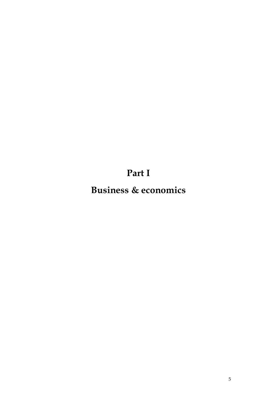**Part I**

**Business & economics**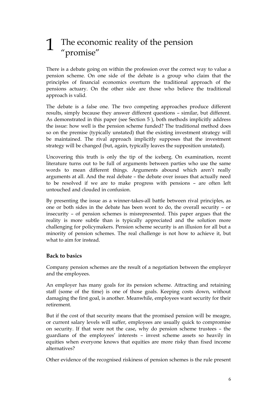# 1 The economic reality of the pension "promise"

There is a debate going on within the profession over the correct way to value a pension scheme. On one side of the debate is a group who claim that the principles of financial economics overturn the traditional approach of the pensions actuary. On the other side are those who believe the traditional approach is valid.

The debate is a false one. The two competing approaches produce different results, simply because they answer different questions – similar, but different. As demonstrated in this paper (see Section 5 ), both methods implicitly address the issue: how well is the pension scheme funded? The traditional method does so on the premise (typically unstated) that the existing investment strategy will be maintained. The rival approach implicitly supposes that the investment strategy will be changed (but, again, typically leaves the supposition unstated).

Uncovering this truth is only the tip of the iceberg. On examination, recent literature turns out to be full of arguments between parties who use the same words to mean different things. Arguments abound which aren't really arguments at all. And the real debate – the debate over issues that actually need to be resolved if we are to make progress with pensions – are often left untouched and clouded in confusion.

By presenting the issue as a winner-takes-all battle between rival principles, as one or both sides in the debate has been wont to do, the overall security – or insecurity – of pension schemes is misrepresented. This paper argues that the reality is more subtle than is typically appreciated and the solution more challenging for policymakers. Pension scheme security is an illusion for all but a minority of pension schemes. The real challenge is not how to achieve it, but what to aim for instead.

#### **Back to basics**

Company pension schemes are the result of a negotiation between the employer and the employees.

An employer has many goals for its pension scheme. Attracting and retaining staff (some of the time) is one of those goals. Keeping costs down, without damaging the first goal, is another. Meanwhile, employees want security for their retirement.

But if the cost of that security means that the promised pension will be meagre, or current salary levels will suffer, employees are usually quick to compromise on security. If that were not the case, why do pension scheme trustees – the guardians of the employees' interests – invest scheme assets so heavily in equities when everyone knows that equities are more risky than fixed income alternatives?

Other evidence of the recognised riskiness of pension schemes is the rule present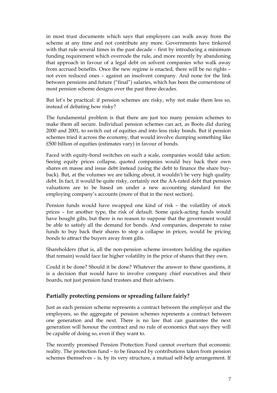in most trust documents which says that employers can walk away from the scheme at any time and not contribute any more. Governments have tinkered with that rule several times in the past decade – first by introducing a minimum funding requirement which overrode the rule, and more recently by abandoning that approach in favour of a legal debt on solvent companies who walk away from accrued benefits. Once the new regime is enacted, there will be no rights – not even reduced ones – against an insolvent company. And none for the link between pensions and future ("final") salaries, which has been the cornerstone of most pension scheme designs over the past three decades.

But let's be practical: if pension schemes are risky, why not make them less so, instead of debating how risky?

The fundamental problem is that there are just too many pension schemes to make them all secure. Individual pension schemes can act, as Boots did during 2000 and 2001, to switch out of equities and into less risky bonds. But if pension schemes tried it across the economy, that would involve dumping something like £500 billion of equities (estimates vary) in favour of bonds.

Faced with equity-bond switches on such a scale, companies would take action. Seeing equity prices collapse, quoted companies would buy back their own shares en masse and issue debt instead (using the debt to finance the share buyback). But, at the volumes we are talking about, it wouldn't be very high quality debt. In fact, it would be quite risky, certainly not the AA-rated debt that pension valuations are to be based on under a new accounting standard for the employing company's accounts (more of that in the next section).

Pension funds would have swapped one kind of risk – the volatility of stock prices – for another type, the risk of default. Some quick-acting funds would have bought gilts, but there is no reason to suppose that the government would be able to satisfy all the demand for bonds. And companies, desperate to raise funds to buy back their shares to stop a collapse in prices, would be pricing bonds to attract the buyers away from gilts.

Shareholders (that is, all the non-pension scheme investors holding the equities that remain) would face far higher volatility in the price of shares that they own.

Could it be done? Should it be done? Whatever the answer to these questions, it is a decision that would have to involve company chief executives and their boards, not just pension fund trustees and their advisers.

#### **Partially protecting pensions or spreading failure fairly?**

Just as each pension scheme represents a contract between the employer and the employees, so the aggregate of pension schemes represents a contract between one generation and the next. There is no law that can guarantee the next generation will honour the contract and no rule of economics that says they will be capable of doing so, even if they want to.

The recently promised Pension Protection Fund cannot overturn that economic reality. The protection fund – to be financed by contributions taken from pension schemes themselves – is, by its very structure, a mutual self-help arrangement. If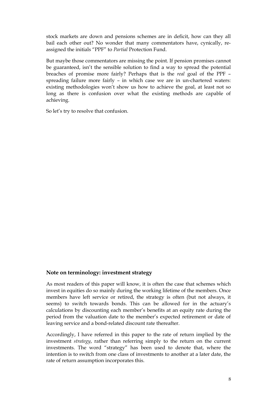stock markets are down and pensions schemes are in deficit, how can they all bail each other out? No wonder that many commentators have, cynically, reassigned the initials "PPF" to *Partial* Protection Fund.

But maybe those commentators are missing the point. If pension promises cannot be guaranteed, isn't the sensible solution to find a way to spread the potential breaches of promise more fairly? Perhaps that is the *real* goal of the PPF – spreading failure more fairly – in which case we are in un-chartered waters: existing methodologies won't show us how to achieve the goal, at least not so long as there is confusion over what the existing methods are capable of achieving.

So let's try to resolve that confusion.

#### **Note on terminology: investment strategy**

As most readers of this paper will know, it is often the case that schemes which invest in equities do so mainly during the working lifetime of the members. Once members have left service or retired, the strategy is often (but not always, it seems) to switch towards bonds. This can be allowed for in the actuary's calculations by discounting each member's benefits at an equity rate during the period from the valuation date to the member's expected retirement or date of leaving service and a bond-related discount rate thereafter.

Accordingly, I have referred in this paper to the rate of return implied by the investment *strategy*, rather than referring simply to the return on the current investments. The word "strategy" has been used to denote that, where the intention is to switch from one class of investments to another at a later date, the rate of return assumption incorporates this.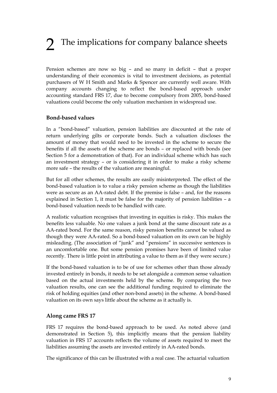## 2 The implications for company balance sheets

Pension schemes are now so big – and so many in deficit – that a proper understanding of their economics is vital to investment decisions, as potential purchasers of W H Smith and Marks & Spencer are currently well aware. With company accounts changing to reflect the bond-based approach under accounting standard FRS 17, due to become compulsory from 2005, bond-based valuations could become the only valuation mechanism in widespread use.

#### **Bond-based values**

In a "bond-based" valuation, pension liabilities are discounted at the rate of return underlying gilts or corporate bonds. Such a valuation discloses the amount of money that would need to be invested in the scheme to secure the benefits if all the assets of the scheme are bonds – or replaced with bonds (see Section 5 for a demonstration of that). For an individual scheme which has such an investment strategy – or is considering it in order to make a risky scheme more safe – the results of the valuation are meaningful.

But for all other schemes, the results are easily misinterpreted. The effect of the bond-based valuation is to value a risky pension scheme as though the liabilities were as secure as an AA-rated debt. If the premise is false – and, for the reasons explained in Section 1, it must be false for the majority of pension liabilities – a bond-based valuation needs to be handled with care.

A realistic valuation recognises that investing in equities is risky. This makes the benefits less valuable. No one values a junk bond at the same discount rate as a AA-rated bond. For the same reason, risky pension benefits cannot be valued as though they were AA-rated. So a bond-based valuation on its own can be highly misleading. (The association of "junk" and "pensions" in successive sentences is an uncomfortable one. But some pension promises have been of limited value recently. There is little point in attributing a value to them as if they were secure.)

If the bond-based valuation is to be of use for schemes other than those already invested entirely in bonds, it needs to be set alongside a common sense valuation based on the actual investments held by the scheme. By comparing the two valuation results, one can see the additional funding required to eliminate the risk of holding equities (and other non-bond assets) in the scheme. A bond-based valuation on its own says little about the scheme as it actually is.

#### **Along came FRS 17**

FRS 17 requires the bond-based approach to be used. As noted above (and demonstrated in Section 5), this implicitly means that the pension liability valuation in FRS 17 accounts reflects the volume of assets required to meet the liabilities assuming the assets are invested entirely in AA-rated bonds.

The significance of this can be illustrated with a real case. The actuarial valuation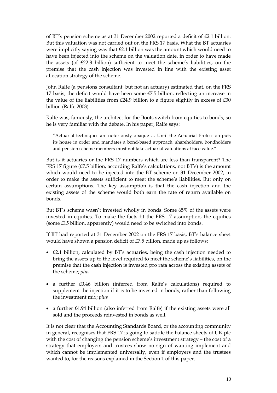of BT's pension scheme as at 31 December 2002 reported a deficit of £2.1 billion. But this valuation was not carried out on the FRS 17 basis. What the BT actuaries were implicitly saying was that £2.1 billion was the amount which would need to have been injected into the scheme on the valuation date, in order to have made the assets (of £22.8 billion) sufficient to meet the scheme's liabilities, on the premise that the cash injection was invested in line with the existing asset allocation strategy of the scheme.

John Ralfe (a pensions consultant, but not an actuary) estimated that, on the FRS 17 basis, the deficit would have been some £7.5 billion, reflecting an increase in the value of the liabilities from  $£24.9$  billion to a figure slightly in excess of  $£30$ billion (Ralfe 2003).

Ralfe was, famously, the architect for the Boots switch from equities to bonds, so he is very familiar with the debate. In his paper, Ralfe says:

"Actuarial techniques are notoriously opaque … Until the Actuarial Profession puts its house in order and mandates a bond-based approach, shareholders, bondholders and pension scheme members must not take actuarial valuations at face value."

But is it actuaries or the FRS 17 numbers which are less than transparent? The FRS 17 figure (£7.5 billion, according Ralfe's calculations, not BT's) is the amount which would need to be injected into the BT scheme on 31 December 2002, in order to make the assets sufficient to meet the scheme's liabilities. But only on certain assumptions. The key assumption is that the cash injection and the existing assets of the scheme would both earn the rate of return available on bonds.

But BT's scheme wasn't invested wholly in bonds. Some 65% of the assets were invested in equities. To make the facts fit the FRS 17 assumption, the equities (some £15 billion, apparently) would need to be switched into bonds.

If BT had reported at 31 December 2002 on the FRS 17 basis, BT's balance sheet would have shown a pension deficit of £7.5 billion, made up as follows:

- £2.1 billion, calculated by BT's actuaries, being the cash injection needed to bring the assets up to the level required to meet the scheme's liabilities, on the premise that the cash injection is invested pro rata across the existing assets of the scheme; *plus*
- a further £0.46 billion (inferred from Ralfe's calculations) required to supplement the injection if it is to be invested in bonds, rather than following the investment mix; *plus*
- a further £4.94 billion (also inferred from Ralfe) if the existing assets were all sold and the proceeds reinvested in bonds as well.

It is not clear that the Accounting Standards Board, or the accounting community in general, recognises that FRS 17 is going to saddle the balance sheets of UK plc with the cost of changing the pension scheme's investment strategy – the cost of a strategy that employers and trustees show no sign of wanting implement and which cannot be implemented universally, even if employers and the trustees wanted to, for the reasons explained in the Section 1 of this paper.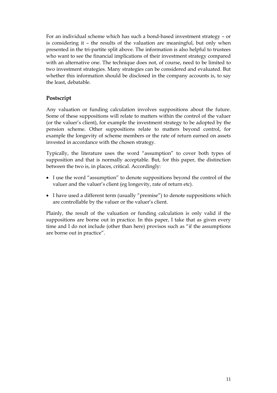For an individual scheme which has such a bond-based investment strategy – or is considering it – the results of the valuation are meaningful, but only when presented in the tri-partite split above. The information is also helpful to trustees who want to see the financial implications of their investment strategy compared with an alternative one. The technique does not, of course, need to be limited to two investment strategies. Many strategies can be considered and evaluated. But whether this information should be disclosed in the company accounts is, to say the least, debatable.

#### **Postscript**

Any valuation or funding calculation involves suppositions about the future. Some of these suppositions will relate to matters within the control of the valuer (or the valuer's client), for example the investment strategy to be adopted by the pension scheme. Other suppositions relate to matters beyond control, for example the longevity of scheme members or the rate of return earned on assets invested in accordance with the chosen strategy.

Typically, the literature uses the word "assumption" to cover both types of supposition and that is normally acceptable. But, for this paper, the distinction between the two is, in places, critical. Accordingly:

- I use the word "assumption" to denote suppositions beyond the control of the valuer and the valuer's client (eg longevity, rate of return etc).
- I have used a different term (usually "premise") to denote suppositions which are controllable by the valuer or the valuer's client.

Plainly, the result of the valuation or funding calculation is only valid if the suppositions are borne out in practice. In this paper, I take that as given every time and I do not include (other than here) provisos such as "if the assumptions are borne out in practice".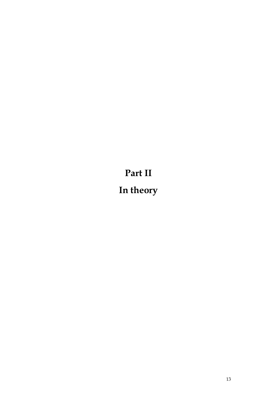**Part II In theory**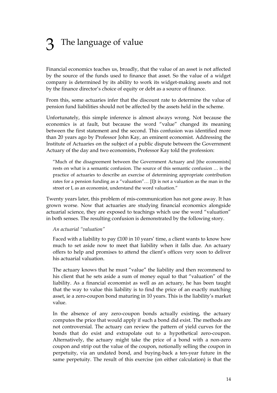## The language of value

Financial economics teaches us, broadly, that the value of an asset is not affected by the source of the funds used to finance that asset. So the value of a widget company is determined by its ability to work its widget-making assets and not by the finance director's choice of equity or debt as a source of finance.

From this, some actuaries infer that the discount rate to determine the value of pension fund liabilities should not be affected by the assets held in the scheme.

Unfortunately, this simple inference is almost always wrong. Not because the economics is at fault, but because the word "value" changed its meaning between the first statement and the second. This confusion was identified more than 20 years ago by Professor John Kay, an eminent economist. Addressing the Institute of Actuaries on the subject of a public dispute between the Government Actuary of the day and two economists, Professor Kay told the profession:

"Much of the disagreement between the Government Actuary and [the economists] rests on what is a semantic confusion. The source of this semantic confusion … is the practice of actuaries to describe an exercise of determining appropriate contribution rates for a pension funding as a "valuation"… [I]t is not a valuation as the man in the street or I, as an economist, understand the word valuation."

Twenty years later, this problem of mis-communication has not gone away. It has grown worse. Now that actuaries are studying financial economics alongside actuarial science, they are exposed to teachings which use the word "valuation" in both senses. The resulting confusion is demonstrated by the following story.

#### *An actuarial "valuation"*

Faced with a liability to pay  $£100$  in 10 years' time, a client wants to know how much to set aside now to meet that liability when it falls due. An actuary offers to help and promises to attend the client's offices very soon to deliver his actuarial valuation.

The actuary knows that he must "value" the liability and then recommend to his client that he sets aside a sum of money equal to that "valuation" of the liability. As a financial economist as well as an actuary, he has been taught that the way to value this liability is to find the price of an exactly matching asset, ie a zero-coupon bond maturing in 10 years. This is the liability's market value.

In the absence of any zero-coupon bonds actually existing, the actuary computes the price that would apply if such a bond did exist. The methods are not controversial. The actuary can review the pattern of yield curves for the bonds that do exist and extrapolate out to a hypothetical zero-coupon. Alternatively, the actuary might take the price of a bond with a non-zero coupon and strip out the value of the coupon, notionally selling the coupon in perpetuity, via an undated bond, and buying-back a ten-year future in the same perpetuity. The result of this exercise (on either calculation) is that the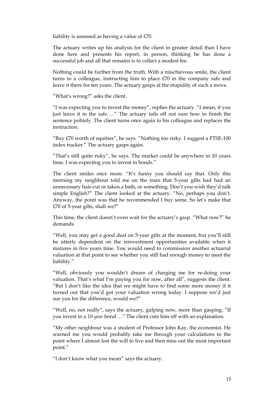liability is assessed as having a value of £70.

The actuary writes up his analysis for the client in greater detail than I have done here and presents his report, in person, thinking he has done a successful job and all that remains is to collect a modest fee.

Nothing could be further from the truth. With a mischievous smile, the client turns to a colleague, instructing him to place  $E70$  in the company safe and leave it there for ten years. The actuary gasps at the stupidity of such a move.

"What's wrong?" asks the client.

"I was expecting you to invest the money", replies the actuary. "I mean, if you just leave it in the safe …" The actuary tails off not sure how to finish the sentence politely. The client turns once again to his colleague and replaces the instruction.

"Buy £70 worth of equities", he says. "Nothing too risky. I suggest a FTSE-100 index tracker." The actuary gasps again.

"That's still quite risky", he says. The market could be anywhere in 10 years time. I was expecting you to invest in bonds."

The client smiles once more. "It's funny you should say that. Only this morning my neighbour told me on the train that 5-year gilts had had an unnecessary hair-cut or taken a bath, or something. Don't you wish they'd talk simple English?" The client looked at the actuary. "No, perhaps you don't. Anyway, the point was that he recommended I buy some. So let's make that £70 of 5-year gilts, shall we?"

This time, the client doesn't even wait for the actuary's gasp. "What now?" he demands.

"Well, you may get a good deal on 5-year gilts at the moment, but you'll still be utterly dependent on the reinvestment opportunities available when it matures in five years time. You would need to commission another actuarial valuation at that point to see whether you still had enough money to meet the liability."

"Well, obviously you wouldn't dream of charging me for re-doing your valuation. That's what I'm paying you for now, after all", suggests the client. "But I don't like the idea that we might have to find some more money if it turned out that you'd got your valuation wrong today. I suppose we'd just sue you for the difference, would we?"

"Well, no, not really", says the actuary, gulping now, more than gasping. "If you invest in a *10-year* bond …" The client cuts him off with an explanation.

"My other neighbour was a student of Professor John Kay, the economist. He warned me you would probably take me through your calculations to the point where I almost lost the will to live and then miss out the most important point."

"I don't know what you mean" says the actuary.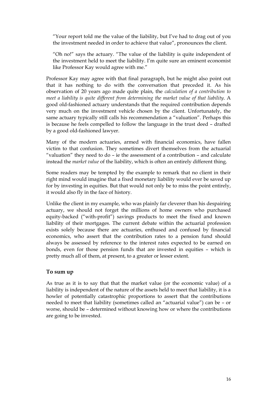"Your report told me the value of the liability, but I've had to drag out of you the investment needed in order to achieve that value", pronounces the client.

"Oh no!" says the actuary. "The value of the liability is quite independent of the investment held to meet the liability. I'm quite sure an eminent economist like Professor Kay would agree with me."

Professor Kay may agree with that final paragraph, but he might also point out that it has nothing to do with the conversation that preceded it. As his observation of 20 years ago made quite plain, the *calculation of a contribution to meet a liability is quite different from determining the market value of that liability*. A good old-fashioned actuary understands that the required contribution depends very much on the investment vehicle chosen by the client. Unfortunately, the same actuary typically still calls his recommendation a "valuation". Perhaps this is because he feels compelled to follow the language in the trust deed – drafted by a good old-fashioned lawyer.

Many of the modern actuaries, armed with financial economics, have fallen victim to that confusion. They sometimes divert themselves from the actuarial "valuation" they need to do – ie the assessment of a contribution – and calculate instead the *market value* of the liability, which is often an entirely different thing.

Some readers may be tempted by the example to remark that no client in their right mind would imagine that a fixed monetary liability would ever be saved up for by investing in equities. But that would not only be to miss the point entirely, it would also fly in the face of history.

Unlike the client in my example, who was plainly far cleverer than his despairing actuary, we should not forget the millions of home owners who purchased equity-backed ("with-profit") savings products to meet the fixed and known liability of their mortgages. The current debate within the actuarial profession exists solely because there are actuaries, enthused and confused by financial economics, who assert that the contribution rates to a pension fund should always be assessed by reference to the interest rates expected to be earned on bonds, even for those pension funds that are invested in equities – which is pretty much all of them, at present, to a greater or lesser extent.

#### **To sum up**

As true as it is to say that that the market value (or the economic value) of a liability is independent of the nature of the assets held to meet that liability, it is a howler of potentially catastrophic proportions to assert that the contributions needed to meet that liability (sometimes called an "actuarial value") can be – or worse, should be – determined without knowing how or where the contributions are going to be invested.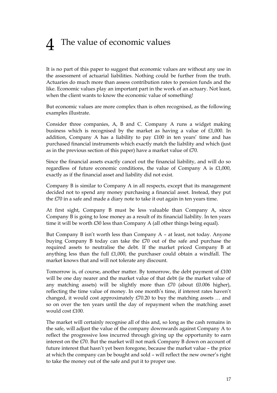## 4 The value of economic values

It is no part of this paper to suggest that economic values are without any use in the assessment of actuarial liabilities. Nothing could be further from the truth. Actuaries do much more than assess contribution rates to pension funds and the like. Economic values play an important part in the work of an actuary. Not least, when the client wants to know the economic value of something!

But economic values are more complex than is often recognised, as the following examples illustrate.

Consider three companies, A, B and C. Company A runs a widget making business which is recognised by the market as having a value of £1,000. In addition, Company A has a liability to pay £100 in ten years' time and has purchased financial instruments which exactly match the liability and which (just as in the previous section of this paper) have a market value of £70.

Since the financial assets exactly cancel out the financial liability, and will do so regardless of future economic conditions, the value of Company A is £1,000, exactly as if the financial asset and liability did not exist.

Company B is similar to Company A in all respects, except that its management decided not to spend any money purchasing a financial asset. Instead, they put the £70 in a safe and made a diary note to take it out again in ten years time.

At first sight, Company B must be less valuable than Company A, since Company B is going to lose money as a result of its financial liability. In ten years time it will be worth £30 less than Company A (all other things being equal).

But Company B isn't worth less than Company A – at least, not today. Anyone buying Company B today can take the £70 out of the safe and purchase the required assets to neutralise the debt. If the market priced Company B at anything less than the full £1,000, the purchaser could obtain a windfall. The market knows that and will not tolerate any discount.

Tomorrow is, of course, another matter. By tomorrow, the debt payment of £100 will be one day nearer and the market value of that debt (ie the market value of any matching assets) will be slightly more than  $E70$  (about  $E0.006$  higher), reflecting the time value of money. In one month's time, if interest rates haven't changed, it would cost approximately £70.20 to buy the matching assets … and so on over the ten years until the day of repayment when the matching asset would cost £100.

The market will certainly recognise all of this and, so long as the cash remains in the safe, will adjust the value of the company downwards against Company A to reflect the progressive loss incurred through giving up the opportunity to earn interest on the £70. But the market will not mark Company B down on account of future interest that hasn't yet been foregone, because the market value – the price at which the company can be bought and sold – will reflect the new owner's right to take the money out of the safe and put it to proper use.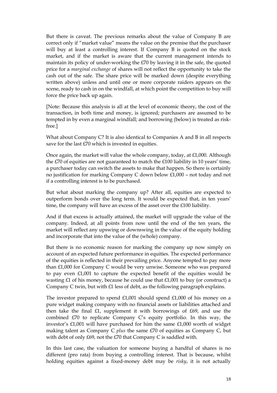But there is caveat. The previous remarks about the value of Company B are correct only if "market value" means the value on the premise that the purchaser will buy at least a controlling interest. If Company B is quoted on the stock market, and if the market is aware that the current management intends to maintain its policy of under-working the £70 by leaving it in the safe, the quoted price for a *marginal exchange* of shares will not reflect the opportunity to take the cash out of the safe. The share price will be marked down (despite everything written above) unless and until one or more corporate raiders appears on the scene, ready to cash in on the windfall, at which point the competition to buy will force the price back up again.

[Note: Because this analysis is all at the level of economic theory, the cost of the transaction, in both time and money, is ignored; purchasers are assumed to be tempted in by even a marginal windfall; and borrowing (below) is treated as riskfree.]

What about Company C? It is also identical to Companies A and B in all respects save for the last £70 which is invested in equities.

Once again, the market will value the whole company, today, at £1,000. Although the £70 of equities are not guaranteed to match the £100 liability in 10 years' time, a purchaser today can switch the assets to make that happen. So there is certainly no justification for marking Company C down below £1,000 – not today and not if a controlling interest is to be purchased.

But what about marking the company up? After all, equities are expected to outperform bonds over the long term. It would be expected that, in ten years' time, the company will have an excess of the asset over the £100 liability.

And if that excess is actually attained, the market will upgrade the value of the company. Indeed, at all points from now until the end of the ten years, the market will reflect any upswing or downswing in the value of the equity holding and incorporate that into the value of the (whole) company.

But there is no economic reason for marking the company up now simply on account of an expected future performance in equities. The expected performance of the equities is reflected in their prevailing price. Anyone tempted to pay more than £1,000 for Company C would be very unwise. Someone who was prepared to pay even £1,001 to capture the expected benefit of the equities would be wasting £1 of his money, because he could use that £1,001 to buy (or construct) a Company C twin, but with £1 less of debt, as the following paragraph explains.

The investor prepared to spend £1,001 should spend £1,000 of his money on a pure widget making company with no financial assets or liabilities attached and then take the final £1, supplement it with borrowings of £69, and use the combined £70 to replicate Company C's equity portfolio. In this way, the investor's £1,001 will have purchased for him the same £1,000 worth of widget making talent as Company C *plus* the same £70 of equities as Company C, but with debt of only £69, not the £70 that Company C is saddled with.

In this last case, the valuation for someone buying a handful of shares is no different (pro rata) from buying a controlling interest. That is because, whilst holding equities against a fixed-money debt may be *risky*, it is not actually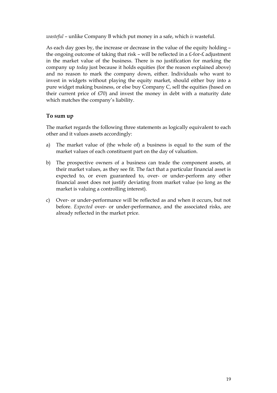*wasteful* – unlike Company B which put money in a safe, which *is* wasteful.

As each day goes by, the increase or decrease in the value of the equity holding – the ongoing outcome of taking that risk – will be reflected in a £-for-£ adjustment in the market value of the business. There is no justification for marking the company up *today* just because it holds equities (for the reason explained above) and no reason to mark the company down, either. Individuals who want to invest in widgets without playing the equity market, should either buy into a pure widget making business, or else buy Company C, sell the equities (based on their current price of £70) and invest the money in debt with a maturity date which matches the company's liability.

#### **To sum up**

The market regards the following three statements as logically equivalent to each other and it values assets accordingly:

- a) The market value of (the whole of) a business is equal to the sum of the market values of each constituent part on the day of valuation.
- b) The prospective owners of a business can trade the component assets, at their market values, as they see fit. The fact that a particular financial asset is expected to, or even guaranteed to, over- or under-perform any other financial asset does not justify deviating from market value (so long as the market is valuing a controlling interest).
- c) Over- or under-performance will be reflected as and when it occurs, but not before. *Expected* over- or under-performance, and the associated risks, are already reflected in the market price.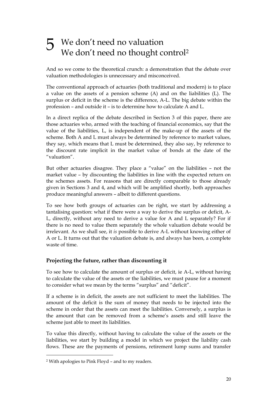### 5 We don't need no valuation We don't need no thought control<sup>2</sup>

And so we come to the theoretical crunch: a demonstration that the debate over valuation methodologies is unnecessary and misconceived.

The conventional approach of actuaries (both traditional and modern) is to place a value on the assets of a pension scheme (A) and on the liabilities (L). The surplus or deficit in the scheme is the difference, A-L. The big debate within the profession – and outside it – is to determine how to calculate A and L.

In a direct replica of the debate described in Section 3 of this paper, there are those actuaries who, armed with the teaching of financial economics, say that the value of the liabilities, L, is independent of the make-up of the assets of the scheme. Both A and L must always be determined by reference to market values, they say, which means that L must be determined, they also say, by reference to the discount rate implicit in the market value of bonds at the date of the "valuation".

But other actuaries disagree. They place a "value" on the liabilities – not the market value – by discounting the liabilities in line with the expected return on the schemes assets. For reasons that are directly comparable to those already given in Sections 3 and 4, and which will be amplified shortly, both approaches produce meaningful answers – albeit to different questions.

To see how both groups of actuaries can be right, we start by addressing a tantalising question: what if there were a way to derive the surplus or deficit, A-L, directly, without any need to derive a value for A and L separately? For if there is no need to value them separately the whole valuation debate would be irrelevant. As we shall see, it *is* possible to derive A-L without knowing either of A or L. It turns out that the valuation debate is, and always has been, a complete waste of time.

#### **Projecting the future, rather than discounting it**

To see how to calculate the amount of surplus or deficit, ie A-L, without having to calculate the value of the assets or the liabilities, we must pause for a moment to consider what we mean by the terms "surplus" and "deficit".

If a scheme is in deficit, the assets are not sufficient to meet the liabilities. The amount of the deficit is the sum of money that needs to be injected into the scheme in order that the assets can meet the liabilities. Conversely, a surplus is the amount that can be removed from a scheme's assets and still leave the scheme just able to meet its liabilities.

To value this directly, without having to calculate the value of the assets or the liabilities, we start by building a model in which we project the liability cash flows. These are the payments of pensions, retirement lump sums and transfer

-

<sup>2</sup> With apologies to Pink Floyd – and to my readers.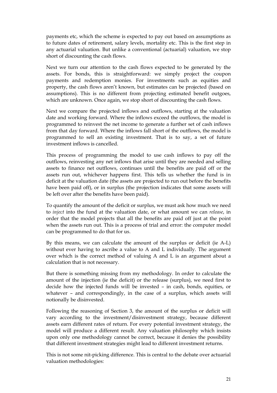payments etc, which the scheme is expected to pay out based on assumptions as to future dates of retirement, salary levels, mortality etc. This is the first step in any actuarial valuation. But unlike a conventional (actuarial) valuation, we stop short of discounting the cash flows.

Next we turn our attention to the cash flows expected to be generated by the assets. For bonds, this is straightforward: we simply project the coupon payments and redemption monies. For investments such as equities and property, the cash flows aren't known, but estimates can be projected (based on assumptions). This is no different from projecting estimated benefit outgoes, which are unknown. Once again, we stop short of discounting the cash flows.

Next we compare the projected inflows and outflows, starting at the valuation date and working forward. Where the inflows exceed the outflows, the model is programmed to reinvest the net income to generate a further set of cash inflows from that day forward. Where the inflows fall short of the outflows, the model is programmed to sell an existing investment. That is to say, a set of future investment inflows is cancelled.

This process of programming the model to use cash inflows to pay off the outflows, reinvesting any net inflows that arise until they are needed and selling assets to finance net outflows, continues until the benefits are paid off or the assets run out, whichever happens first. This tells us whether the fund is in deficit at the valuation date (the assets are projected to run out before the benefits have been paid off), or in surplus (the projection indicates that some assets will be left over after the benefits have been paid).

To quantify the amount of the deficit or surplus, we must ask how much we need to *inject* into the fund at the valuation date, or what amount we can *release*, in order that the model projects that all the benefits are paid off just at the point when the assets run out. This is a process of trial and error: the computer model can be programmed to do that for us.

By this means, we can calculate the amount of the surplus or deficit (ie A-L) without ever having to ascribe a value to A and L individually. The argument over which is the correct method of valuing A and L is an argument about a calculation that is not necessary.

But there is something missing from my methodology. In order to calculate the amount of the injection (ie the deficit) or the release (surplus), we need first to decide how the injected funds will be invested – in cash, bonds, equities, or whatever – and correspondingly, in the case of a surplus, which assets will notionally be disinvested.

Following the reasoning of Section 3, the amount of the surplus or deficit will vary according to the investment/disinvestment strategy, because different assets earn different rates of return. For every potential investment strategy, the model will produce a different result. Any valuation philosophy which insists upon only one methodology cannot be correct, because it denies the possibility that different investment strategies might lead to different investment returns.

This is not some nit-picking difference. This is central to the debate over actuarial valuation methodologies: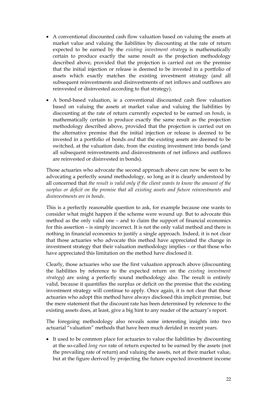- A conventional discounted cash flow valuation based on valuing the assets at market value and valuing the liabilities by discounting at the rate of return expected to be earned by the *existing investment strategy* is mathematically certain to produce exactly the same result as the projection methodology described above, provided that the projection is carried out on the premise that the initial injection or release is deemed to be invested in a portfolio of assets which exactly matches the existing investment strategy (and all subsequent reinvestments and disinvestments of net inflows and outflows are reinvested or disinvested according to that strategy).
- A bond-based valuation, ie a conventional discounted cash flow valuation based on valuing the assets at market value and valuing the liabilities by discounting at the rate of return currently expected to be earned on *bonds*, is mathematically certain to produce exactly the same result as the projection methodology described above, provided that the projection is carried out on the alternative premise that the initial injection or release is deemed to be invested in a portfolio of bonds *and* that the existing assets are deemed to be switched, at the valuation date, from the existing investment into bonds (and all subsequent reinvestments and disinvestments of net inflows and outflows are reinvested or disinvested in bonds).

Those actuaries who advocate the second approach above can now be seen to be advocating a perfectly sound methodology, so long as it is clearly understood by all concerned that *the result is valid only if the client wants to know the amount of the surplus or deficit on the premise that all existing assets and future reinvestments and disinvestments are in bonds*.

This is a perfectly reasonable question to ask, for example because one wants to consider what might happen if the scheme were wound up. But to advocate this method as the only valid one – and to claim the support of financial economics for this assertion – is simply incorrect. It is not the only valid method and there is nothing in financial economics to justify a single approach. Indeed, it is not clear that those actuaries who advocate this method have appreciated the change in investment strategy that their valuation methodology implies – or that those who have appreciated this limitation on the method have disclosed it.

Clearly, those actuaries who use the first valuation approach above (discounting the liabilities by reference to the expected return on the *existing investment strategy*) are using a perfectly sound methodology also. The result is entirely valid, because it quantifies the surplus or deficit on the premise that the existing investment strategy will continue to apply. Once again, it is not clear that those actuaries who adopt this method have always disclosed this implicit premise, but the mere statement that the discount rate has been determined by reference to the existing assets does, at least, give a big hint to any reader of the actuary's report.

The foregoing methodology also reveals some interesting insights into two actuarial "valuation" methods that have been much derided in recent years.

• It used to be common place for actuaries to value the liabilities by discounting at the so-called *long run* rate of return expected to be earned by the assets (not the prevailing rate of return) and valuing the assets, not at their market value, but at the figure derived by projecting the future expected investment income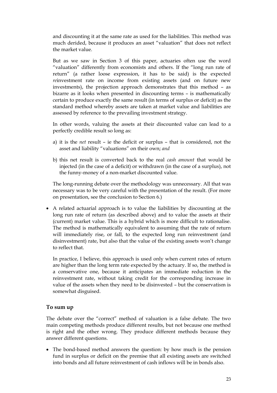and discounting it at the same rate as used for the liabilities. This method was much derided, because it produces an asset "valuation" that does not reflect the market value.

 But as we saw in Section 3 of this paper, actuaries often use the word "valuation" differently from economists and others. If the "long run rate of return" (a rather loose expression, it has to be said) is the expected *re*investment rate on income from existing assets (and on future new investments), the projection approach demonstrates that this method – as bizarre as it looks when presented in discounting terms – is mathematically certain to produce exactly the same result (in terms of surplus or deficit) as the standard method whereby assets are taken at market value and liabilities are assessed by reference to the prevailing investment strategy.

 In other words, valuing the assets at their discounted value can lead to a perfectly credible result so long as:

- a) it is the *net* result ie the deficit or surplus that is considered, not the asset and liability "valuations" on their own; *and*
- b) this net result is converted back to the real *cash amount* that would be injected (in the case of a deficit) or withdrawn (in the case of a surplus), not the funny-money of a non-market discounted value.

 The long-running debate over the methodology was unnecessary. All that was necessary was to be very careful with the presentation of the result. (For more on presentation, see the conclusion to Section 6.)

• A related actuarial approach is to value the liabilities by discounting at the long run rate of return (as described above) and to value the assets at their (current) market value. This is a hybrid which is more difficult to rationalise. The method is mathematically equivalent to assuming that the rate of return will immediately rise, or fall, to the expected long run reinvestment (and disinvestment) rate, but also that the value of the existing assets won't change to reflect that.

 In practice, I believe, this approach is used only when current rates of return are higher than the long term rate expected by the actuary. If so, the method is a conservative one, because it anticipates an immediate reduction in the reinvestment rate, without taking credit for the corresponding increase in value of the assets when they need to be disinvested – but the conservatism is somewhat disguised.

#### **To sum up**

The debate over the "correct" method of valuation is a false debate. The two main competing methods produce different results, but not because one method is right and the other wrong. They produce different methods because they answer different questions.

• The bond-based method answers the question: by how much is the pension fund in surplus or deficit on the premise that all existing assets are switched into bonds and all future reinvestment of cash inflows will be in bonds also.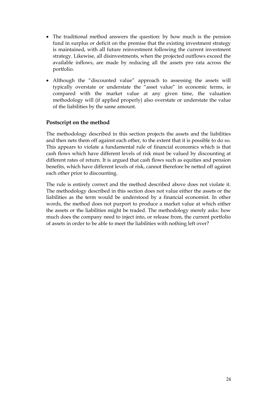- The traditional method answers the question: by how much is the pension fund in surplus or deficit on the premise that the existing investment strategy is maintained, with all future reinvestment following the current investment strategy. Likewise, all disinvestments, when the projected outflows exceed the available inflows, are made by reducing all the assets pro rata across the portfolio.
- Although the "discounted value" approach to assessing the assets will typically overstate or understate the "asset value" in economic terms, ie compared with the market value at any given time, the valuation methodology will (if applied properly) also overstate or understate the value of the liabilities by the same amount.

#### **Postscript on the method**

The methodology described in this section projects the assets and the liabilities and then nets them off against each other, to the extent that it is possible to do so. This appears to violate a fundamental rule of financial economics which is that cash flows which have different levels of risk must be valued by discounting at different rates of return. It is argued that cash flows such as equities and pension benefits, which have different levels of risk, cannot therefore be netted off against each other prior to discounting.

The rule is entirely correct and the method described above does not violate it. The methodology described in this section does not value either the assets or the liabilities as the term would be understood by a financial economist. In other words, the method does not purport to produce a market value at which either the assets or the liabilities might be traded. The methodology merely asks: how much does the company need to inject into, or release from, the current portfolio of assets in order to be able to meet the liabilities with nothing left over?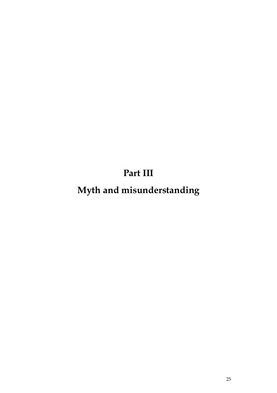**Part III**

**Myth and misunderstanding**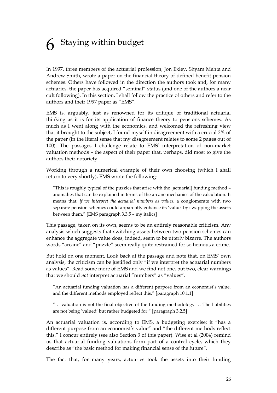### **6** Staying within budget

In 1997, three members of the actuarial profession, Jon Exley, Shyam Mehta and Andrew Smith, wrote a paper on the financial theory of defined benefit pension schemes. Others have followed in the direction the authors took and, for many actuaries, the paper has acquired "seminal" status (and one of the authors a near cult following). In this section, I shall follow the practice of others and refer to the authors and their 1997 paper as "EMS".

EMS is, arguably, just as renowned for its critique of traditional actuarial thinking as it is for its application of finance theory to pensions schemes. As much as I went along with the economics, and welcomed the refreshing view that it brought to the subject, I found myself in disagreement with a crucial 2% of the paper (in the literal sense that my disagreement relates to some 2 pages out of 100). The passages I challenge relate to EMS' interpretation of non-market valuation methods – the aspect of their paper that, perhaps, did most to give the authors their notoriety.

Working through a numerical example of their own choosing (which I shall return to very shortly), EMS wrote the following:

 "This is roughly typical of the puzzles that arise with the [actuarial] funding method – anomalies that can be explained in terms of the arcane mechanics of the calculation. It means that, *if we interpret the actuarial numbers as values*, a conglomerate with two separate pension schemes could apparently enhance its 'value' by swapping the assets between them." [EMS paragraph 3.3.5 – my italics]

This passage, taken on its own, seems to be an entirely reasonable criticism. Any analysis which suggests that switching assets between two pension schemes can enhance the aggregate value does, indeed, seem to be utterly bizarre. The authors words "arcane" and "puzzle" seem really quite restrained for so heinous a crime.

But hold on one moment. Look back at the passage and note that, on EMS' own analysis, the criticism can be justified only "if we interpret the actuarial numbers as values". Read some more of EMS and we find not one, but two, clear warnings that we should *not* interpret actuarial "numbers" as "values".

 "An actuarial funding valuation has a different purpose from an economist's value, and the different methods employed reflect this." [paragraph 10.1.1]

 "… valuation is not the final objective of the funding methodology … The liabilities are not being 'valued' but rather budgeted for." [paragraph 3.2.5]

An actuarial valuation is, according to EMS, a budgeting exercise; it "has a different purpose from an economist's value" and "the different methods reflect this." I concur entirely (see also Section 3 of this paper). Wise et al (2004) remind us that actuarial funding valuations form part of a control cycle, which they describe as "the basic method for making financial sense of the future".

The fact that, for many years, actuaries took the assets into their funding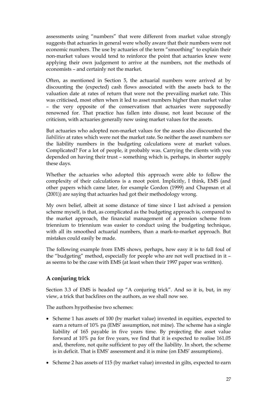assessments using "numbers" that were different from market value strongly suggests that actuaries in general were wholly aware that their numbers were not economic numbers. The use by actuaries of the term "smoothing" to explain their non-market values would tend to reinforce the point that actuaries knew were applying their own judgement to arrive at the numbers, not the methods of economists – and certainly not the market.

Often, as mentioned in Section 5, the actuarial numbers were arrived at by discounting the (expected) cash flows associated with the assets back to the valuation date at rates of return that were not the prevailing market rate. This was criticised, most often when it led to asset numbers higher than market value – the very opposite of the conservatism that actuaries were supposedly renowned for. That practice has fallen into disuse, not least because of the criticism, with actuaries generally now using market values for the assets.

But actuaries who adopted non-market values for the assets also discounted the *liabilities* at rates which were not the market rate. So neither the asset numbers *nor*  the liability numbers in the budgeting calculations were at market values. Complicated? For a lot of people, it probably was. Carrying the clients with you depended on having their trust – something which is, perhaps, in shorter supply these days.

Whether the actuaries who adopted this approach were able to follow the complexity of their calculations is a moot point. Implicitly, I think, EMS (and other papers which came later, for example Gordon (1999) and Chapman et al (2001)) are saying that actuaries had got their methodology wrong.

My own belief, albeit at some distance of time since I last advised a pension scheme myself, is that, as complicated as the budgeting approach is, compared to the market approach, the financial management of a pension scheme from triennium to triennium was easier to conduct using the budgeting technique, with all its smoothed actuarial numbers, than a mark-to-market approach. But mistakes could easily be made.

The following example from EMS shows, perhaps, how easy it is to fall foul of the "budgeting" method, especially for people who are not well practised in it – as seems to be the case with EMS (at least when their 1997 paper was written).

#### **A conjuring trick**

Section 3.3 of EMS is headed up "A conjuring trick". And so it is, but, in my view, a trick that backfires on the authors, as we shall now see.

The authors hypothesise two schemes:

- Scheme 1 has assets of 100 (by market value) invested in equities, expected to earn a return of 10% pa (EMS' assumption, not mine). The scheme has a single liability of 165 payable in five years time. By projecting the asset value forward at 10% pa for five years, we find that it is expected to realise 161.05 and, therefore, not quite sufficient to pay off the liability. In short, the scheme is in deficit. That is EMS' assessment and it is mine (on EMS' assumptions).
- Scheme 2 has assets of 115 (by market value) invested in gilts, expected to earn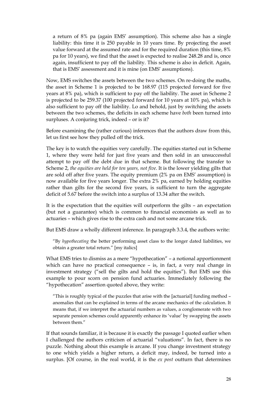a return of 8% pa (again EMS' assumption). This scheme also has a single liability: this time it is 250 payable in 10 years time. By projecting the asset value forward at the assumed rate and for the required duration (this time, 8% pa for 10 years), we find that the asset is expected to realise 248.28 and is, once again, insufficient to pay off the liability. This scheme is also in deficit. Again, that is EMS' assessment and it is mine (on EMS' assumptions).

Now, EMS switches the assets between the two schemes. On re-doing the maths, the asset in Scheme 1 is projected to be 168.97 (115 projected forward for five years at 8% pa), which is sufficient to pay off the liability. The asset in Scheme 2 is projected to be 259.37 (100 projected forward for 10 years at 10% pa), which is also sufficient to pay off the liability. Lo and behold, just by switching the assets between the two schemes, the deficits in each scheme have *both* been turned into surpluses. A conjuring trick, indeed – or is it?

Before examining the (rather curious) inferences that the authors draw from this, let us first see how they pulled off the trick.

The key is to watch the equities very carefully. The equities started out in Scheme 1, where they were held for just five years and then sold in an unsuccessful attempt to pay off the debt due in that scheme. But following the transfer to Scheme 2, *the equities are held for ten years, not five*. It is the lower yielding gilts that are sold off after five years. The equity premium (2% pa on EMS' assumption) is now available for five years longer. The extra 2% pa, earned by holding equities rather than gilts for the second five years, is sufficient to turn the aggregate deficit of 5.67 before the switch into a surplus of 13.34 after the switch.

It is the expectation that the equities will outperform the gilts – an expectation (but not a guarantee) which is common to financial economists as well as to actuaries – which gives rise to the extra cash and not some arcane trick.

But EMS draw a wholly different inference. In paragraph 3.3.4, the authors write:

"By *hypothecating* the better performing asset class to the longer dated liabilities, we obtain a greater total return." [my italics]

What EMS tries to dismiss as a mere "hypothecation" – a notional apportionment which can have no practical consequence – is, in fact, a very real change in investment strategy ("sell the gilts and hold the equities"). But EMS use this example to pour scorn on pension fund actuaries. Immediately following the "hypothecation" assertion quoted above, they write:

"This is roughly typical of the puzzles that arise with the [actuarial] funding method – anomalies that can be explained in terms of the arcane mechanics of the calculation. It means that, if we interpret the actuarial numbers as values, a conglomerate with two separate pension schemes could apparently enhance its 'value' by swapping the assets between them."

If that sounds familiar, it is because it is exactly the passage I quoted earlier when I challenged the authors criticism of actuarial "valuations". In fact, there is no puzzle. Nothing about this example is arcane. If you change investment strategy to one which yields a higher return, a deficit may, indeed, be turned into a surplus. [Of course, in the real world, it is the *ex post* outturn that determines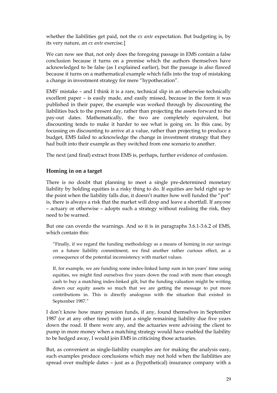whether the liabilities get paid, not the *ex ante* expectation. But budgeting is, by its very nature, an *ex ante* exercise.]

We can now see that, not only does the foregoing passage in EMS contain a false conclusion because it turns on a premise which the authors themselves have acknowledged to be false (as I explained earlier), but the passage is also flawed because it turns on a mathematical example which falls into the trap of mistaking a change in investment strategy for mere "hypothecation".

EMS' mistake – and I think it is a rare, technical slip in an otherwise technically excellent paper – is easily made, and easily missed, because in the form it was published in their paper, the example was worked through by discounting the liabilities back to the present day, rather than projecting the assets forward to the pay-out dates. Mathematically, the two are completely equivalent, but discounting tends to make it harder to see what is going on. In this case, by focussing on discounting to arrive at a value, rather than projecting to produce a budget, EMS failed to acknowledge the change in investment strategy that they had built into their example as they switched from one scenario to another.

The next (and final) extract from EMS is, perhaps, further evidence of confusion.

#### **Homing in on a target**

There is no doubt that planning to meet a single pre-determined monetary liability by holding equities is a risky thing to do. If equities are held right up to the point when the liability falls due, it doesn't matter how well funded the "pot" is, there is always a risk that the market will drop and leave a shortfall. If anyone – actuary or otherwise – adopts such a strategy without realising the risk, they need to be warned.

But one can overdo the warnings. And so it is in paragraphs 3.6.1-3.6.2 of EMS, which contain this:

"Finally, if we regard the funding methodology as a means of homing in our savings on a future liability commitment, we find another rather curious effect, as a consequence of the potential inconsistency with market values.

If, for example, we are funding some index-linked lump sum in ten years' time using equities, we might find ourselves five years down the road with more than enough cash to buy a matching index-linked gilt, but the funding valuation might be writing down our equity assets so much that we are getting the message to put more contributions in. This is directly analogous with the situation that existed in September 1987."

I don't know how many pension funds, if any, found themselves in September 1987 (or at any other time) with just a single remaining liability due five years down the road. If there were any, and the actuaries were advising the client to pump in more money when a matching strategy would have enabled the liability to be hedged away, I would join EMS in criticising those actuaries.

But, as convenient as single-liability examples are for making the analysis easy, such examples produce conclusions which may not hold when the liabilities are spread over multiple dates – just as a (hypothetical) insurance company with a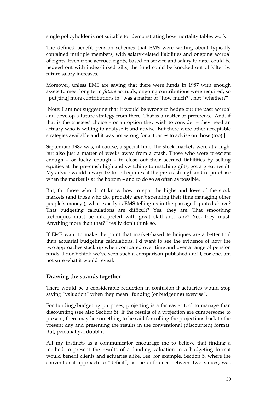single policyholder is not suitable for demonstrating how mortality tables work.

The defined benefit pension schemes that EMS were writing about typically contained multiple members, with salary-related liabilities and ongoing accrual of rights. Even if the accrued rights, based on service and salary to date, could be hedged out with index-linked gilts, the fund could be knocked out of kilter by future salary increases.

Moreover, unless EMS are saying that there were funds in 1987 with enough assets to meet long term *future* accruals, ongoing contributions were required, so "put[ting] more contributions in" was a matter of "how much?", not "whether?"

[Note: I am not suggesting that it would be wrong to hedge out the past accrual and develop a future strategy from there. That is a matter of preference. And, if that is the trustees' choice – or an option they wish to consider – they need an actuary who is willing to analyse it and advise. But there were other acceptable strategies available and it was not wrong for actuaries to advise on those (too).]

September 1987 was, of course, a special time: the stock markets were at a high, but also just a matter of weeks away from a crash. Those who were prescient enough – or lucky enough – to close out their accrued liabilities by selling equities at the pre-crash high and switching to matching gilts, got a great result. My advice would always be to sell equities at the pre-crash high and re-purchase when the market is at the bottom – and to do so as often as possible.

But, for those who don't know how to spot the highs and lows of the stock markets (and those who do, probably aren't spending their time managing other people's money!), what exactly is EMS telling us in the passage I quoted above? That budgeting calculations are difficult? Yes, they are. That smoothing techniques must be interpreted with great skill and care? Yes, they must. Anything more than that? I really don't think so.

If EMS want to make the point that market-based techniques are a better tool than actuarial budgeting calculations, I'd want to see the evidence of how the two approaches stack up when compared over time and over a range of pension funds. I don't think we've seen such a comparison published and I, for one, am not sure what it would reveal.

#### **Drawing the strands together**

There would be a considerable reduction in confusion if actuaries would stop saying "valuation" when they mean "funding (or budgeting) exercise".

For funding/budgeting purposes, projecting is a far easier tool to manage than discounting (see also Section 5). If the results of a projection are cumbersome to present, there may be something to be said for rolling the projections back to the present day and presenting the results in the conventional (discounted) format. But, personally, I doubt it.

All my instincts as a communicator encourage me to believe that finding a method to present the results of a funding valuation in a budgeting format would benefit clients and actuaries alike. See, for example, Section 5, where the conventional approach to "deficit", as the difference between two values, was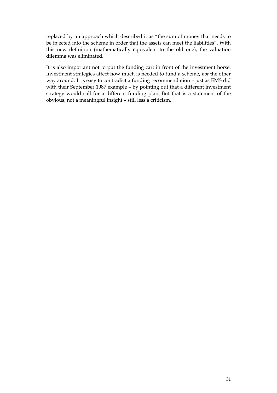replaced by an approach which described it as "the sum of money that needs to be injected into the scheme in order that the assets can meet the liabilities". With this new definition (mathematically equivalent to the old one), the valuation dilemma was eliminated.

It is also important not to put the funding cart in front of the investment horse. Investment strategies affect how much is needed to fund a scheme, *not* the other way around. It is easy to contradict a funding recommendation – just as EMS did with their September 1987 example – by pointing out that a different investment strategy would call for a different funding plan. But that is a statement of the obvious, not a meaningful insight – still less a criticism.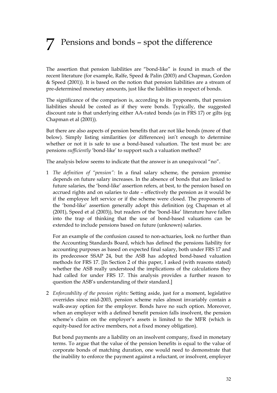## 7 Pensions and bonds – spot the difference

The assertion that pension liabilities are "bond-like" is found in much of the recent literature (for example, Ralfe, Speed & Palin (2003) and Chapman, Gordon & Speed (2001)). It is based on the notion that pension liabilities are a stream of pre-determined monetary amounts, just like the liabilities in respect of bonds.

The significance of the comparison is, according to its proponents, that pension liabilities should be costed as if they were bonds. Typically, the suggested discount rate is that underlying either AA-rated bonds (as in FRS 17) or gilts (eg Chapman et al (2001)).

But there are also aspects of pension benefits that are not like bonds (more of that below). Simply listing similarities (or differences) isn't enough to determine whether or not it is safe to use a bond-based valuation. The test must be: are pensions *sufficiently* 'bond-like' to support such a valuation method?

The analysis below seems to indicate that the answer is an unequivocal "no".

1 *The definition of "pension":* In a final salary scheme, the pension promise depends on future salary increases. In the absence of bonds that are linked to future salaries, the 'bond-like' assertion refers, at best, to the pension based on accrued rights and on salaries to date – effectively the pension as it would be if the employee left service or if the scheme were closed. The proponents of the 'bond-like' assertion generally adopt this definition (eg Chapman et al (2001), Speed et al (2003)), but readers of the 'bond-like' literature have fallen into the trap of thinking that the use of bond-based valuations can be extended to include pensions based on future (unknown) salaries.

 For an example of the confusion caused to non-actuaries, look no further than the Accounting Standards Board, which has defined the pensions liability for accounting purposes as based on expected final salary, both under FRS 17 and its predecessor SSAP 24, but the ASB has adopted bond-based valuation methods for FRS 17. [In Section 2 of this paper, I asked (with reasons stated) whether the ASB really understood the implications of the calculations they had called for under FRS 17. This analysis provides a further reason to question the ASB's understanding of their standard.]

2 *Enforceability of the pension rights:* Setting aside, just for a moment, legislative overrides since mid-2003, pension scheme rules almost invariably contain a walk-away option for the employer. Bonds have no such option. Moreover, when an employer with a defined benefit pension falls insolvent, the pension scheme's claim on the employer's assets is limited to the MFR (which is equity-based for active members, not a fixed money obligation).

But bond payments are a liability on an insolvent company, fixed in monetary terms. To argue that the value of the pension benefits is equal to the value of corporate bonds of matching duration, one would need to demonstrate that the inability to enforce the payment against a reluctant, or insolvent, employer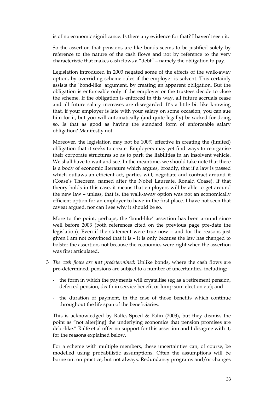is of no economic significance. Is there any evidence for that? I haven't seen it.

 So the assertion that pensions are like bonds seems to be justified solely by reference to the nature of the cash flows and not by reference to the very characteristic that makes cash flows a "debt" – namely the obligation to pay.

 Legislation introduced in 2003 negated some of the effects of the walk-away option, by overriding scheme rules if the employer is solvent. This certainly assists the 'bond-like' argument, by creating an apparent obligation. But the obligation is enforceable only if the employer or the trustees decide to close the scheme. If the obligation is enforced in this way, all future accruals cease and all future salary increases are disregarded. It's a little bit like knowing that, if your employer is late with your salary on some occasion, you can sue him for it, but you will automatically (and quite legally) be sacked for doing so. Is that as good as having the standard form of enforceable salary obligation? Manifestly not.

 Moreover, the legislation may not be 100% effective in creating the (limited) obligation that it seeks to create. Employers may yet find ways to reorganise their corporate structures so as to park the liabilities in an insolvent vehicle. We shall have to wait and see. In the meantime, we should take note that there is a body of economic literature which argues, broadly, that if a law is passed which outlaws an efficient act, parties will, negotiate and contract around it (Coase's Theorem, named after the Nobel Laureate, Ronald Coase). If that theory holds in this case, it means that employers will be able to get around the new law – unless, that is, the walk-away option was not an economically efficient option for an employer to have in the first place. I have not seen that caveat argued, nor can I see why it should be so.

 More to the point, perhaps, the 'bond-like' assertion has been around since well before 2003 (both references cited on the previous page pre-date the legislation). Even if the statement were true now – and for the reasons just given I am not convinced that it is – it is only because the law has changed to bolster the assertion, not because the economics were right when the assertion was first articulated.

- 3 *The cash flows are not predetermined:* Unlike bonds, where the cash flows are pre-determined, pensions are subject to a number of uncertainties, including:
	- the form in which the payments will crystallise (eg as a retirement pension, deferred pension, death in service benefit or lump sum election etc); and
	- the duration of payment, in the case of those benefits which continue throughout the life span of the beneficiaries.

 This is acknowledged by Ralfe, Speed & Palin (2003), but they dismiss the point as "not alter[ing] the underlying economics that pension promises are debt-like." Ralfe et al offer no support for this assertion and I disagree with it, for the reasons explained below.

 For a scheme with multiple members, these uncertainties can, of course, be modelled using probabilistic assumptions. Often the assumptions will be borne out on practice, but not always. Redundancy programs and/or changes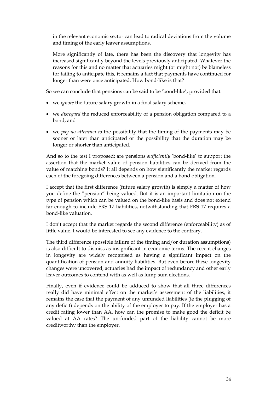in the relevant economic sector can lead to radical deviations from the volume and timing of the early leaver assumptions.

 More significantly of late, there has been the discovery that longevity has increased significantly beyond the levels previously anticipated. Whatever the reasons for this and no matter that actuaries might (or might not) be blameless for failing to anticipate this, it remains a fact that payments have continued for longer than were once anticipated. How bond-like is that?

So we can conclude that pensions can be said to be 'bond-like', provided that:

- we *ignore* the future salary growth in a final salary scheme,
- we *disregard* the reduced enforceability of a pension obligation compared to a bond, and
- we *pay no attention to* the possibility that the timing of the payments may be sooner or later than anticipated or the possibility that the duration may be longer or shorter than anticipated.

And so to the test I proposed: are pensions *sufficiently* 'bond-like' to support the assertion that the market value of pension liabilities can be derived from the value of matching bonds? It all depends on how significantly the market regards each of the foregoing differences between a pension and a bond obligation.

I accept that the first difference (future salary growth) is simply a matter of how you define the "pension" being valued. But it is an important limitation on the type of pension which can be valued on the bond-like basis and does not extend far enough to include FRS 17 liabilities, notwithstanding that FRS 17 requires a bond-like valuation.

I don't accept that the market regards the second difference (enforceability) as of little value. I would be interested to see any evidence to the contrary.

The third difference (possible failure of the timing and/or duration assumptions) is also difficult to dismiss as insignificant in economic terms. The recent changes in longevity are widely recognised as having a significant impact on the quantification of pension and annuity liabilities. But even before these longevity changes were uncovered, actuaries had the impact of redundancy and other early leaver outcomes to contend with as well as lump sum elections.

Finally, even if evidence could be adduced to show that all three differences really did have minimal effect on the market's assessment of the liabilities, it remains the case that the payment of any unfunded liabilities (ie the plugging of any deficit) depends on the ability of the employer to pay. If the employer has a credit rating lower than AA, how can the promise to make good the deficit be valued at AA rates? The un-funded part of the liability cannot be more creditworthy than the employer.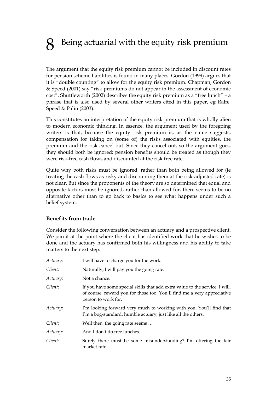## Being actuarial with the equity risk premium

The argument that the equity risk premium cannot be included in discount rates for pension scheme liabilities is found in many places. Gordon (1999) argues that it is "double counting" to allow for the equity risk premium. Chapman, Gordon & Speed (2001) say "risk premiums do not appear in the assessment of economic cost". Shuttleworth (2002) describes the equity risk premium as a "free lunch" – a phrase that is also used by several other writers cited in this paper, eg Ralfe, Speed & Palin (2003).

This constitutes an interpretation of the equity risk premium that is wholly alien to modern economic thinking. In essence, the argument used by the foregoing writers is that, because the equity risk premium is, as the name suggests, compensation for taking on (some of) the risks associated with equities, the premium and the risk cancel out. Since they cancel out, so the argument goes, they should both be ignored: pension benefits should be treated as though they were risk-free cash flows and discounted at the risk free rate.

Quite why both risks must be ignored, rather than both being allowed for (ie treating the cash flows as risky and discounting them at the risk-adjusted rate) is not clear. But since the proponents of the theory are so determined that equal and opposite factors must be ignored, rather than allowed for, there seems to be no alternative other than to go back to basics to see what happens under such a belief system.

#### **Benefits from trade**

Consider the following conversation between an actuary and a prospective client. We join it at the point where the client has identified work that he wishes to be done and the actuary has confirmed both his willingness and his ability to take matters to the next step:

| Actuary: | I will have to charge you for the work.                                                                                                                                        |
|----------|--------------------------------------------------------------------------------------------------------------------------------------------------------------------------------|
| Client:  | Naturally, I will pay you the going rate.                                                                                                                                      |
| Actuary: | Not a chance.                                                                                                                                                                  |
| Client:  | If you have some special skills that add extra value to the service, I will,<br>of course, reward you for those too. You'll find me a very appreciative<br>person to work for. |
| Actuary: | I'm looking forward very much to working with you. You'll find that<br>I'm a bog-standard, humble actuary, just like all the others.                                           |
| Client:  | Well then, the going rate seems                                                                                                                                                |
| Actuary: | And I don't do free lunches.                                                                                                                                                   |
| Client:  | Surely there must be some misunderstanding? I'm offering the fair<br>market rate.                                                                                              |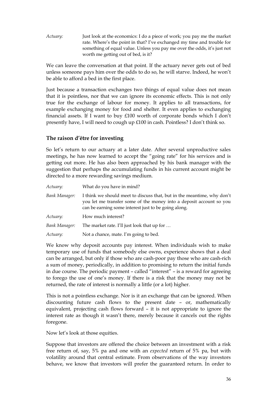*Actuary:* Just look at the economics: I do a piece of work; you pay me the market rate. Where's the point in that? I've exchanged my time and trouble for something of equal value. Unless you pay me over the odds, it's just not worth me getting out of bed, is it?

We can leave the conversation at that point. If the actuary never gets out of bed unless someone pays him over the odds to do so, he will starve. Indeed, he won't be able to afford a bed in the first place.

Just because a transaction exchanges two things of equal value does not mean that it is pointless, nor that we can ignore its economic effects. This is not only true for the exchange of labour for money. It applies to all transactions, for example exchanging money for food and shelter. It even applies to exchanging financial assets. If I want to buy £100 worth of corporate bonds which I don't presently have, I will need to cough up £100 in cash. Pointless? I don't think so.

#### **The raison d'être for investing**

So let's return to our actuary at a later date. After several unproductive sales meetings, he has now learned to accept the "going rate" for his services and is getting out more. He has also been approached by his bank manager with the suggestion that perhaps the accumulating funds in his current account might be directed to a more rewarding savings medium.

| Actuary:      | What do you have in mind?                                                                                                                                                                             |
|---------------|-------------------------------------------------------------------------------------------------------------------------------------------------------------------------------------------------------|
| Bank Manager: | I think we should meet to discuss that, but in the meantime, why don't<br>you let me transfer some of the money into a deposit account so you<br>can be earning some interest just to be going along. |
| Actuary:      | How much interest?                                                                                                                                                                                    |
| Bank Manager: | The market rate. I'll just look that up for                                                                                                                                                           |
| Actuary:      | Not a chance, mate. I'm going to bed.                                                                                                                                                                 |

We know why deposit accounts pay interest. When individuals wish to make temporary use of funds that somebody else owns, experience shows that a deal can be arranged, but only if those who are cash-poor pay those who are cash-rich a sum of money, periodically, in addition to promising to return the initial funds in due course. The periodic payment – called "interest" – is a reward for agreeing to forego the use of one's money. If there is a risk that the money may not be returned, the rate of interest is normally a little (or a lot) higher.

This is not a pointless exchange. Nor is it an exchange that can be ignored. When discounting future cash flows to the present date – or, mathematically equivalent, projecting cash flows forward – it is not appropriate to ignore the interest rate as though it wasn't there, merely because it cancels out the rights foregone.

Now let's look at those equities.

Suppose that investors are offered the choice between an investment with a risk free return of, say, 5% pa and one with an *expected* return of 5% pa, but with volatility around that central estimate. From observations of the way investors behave, we know that investors will prefer the guaranteed return. In order to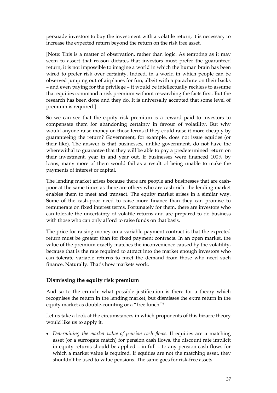persuade investors to buy the investment with a volatile return, it is necessary to increase the expected return beyond the return on the risk free asset.

[Note: This is a matter of observation, rather than logic. As tempting as it may seem to assert that reason dictates that investors must prefer the guaranteed return, it is not impossible to imagine a world in which the human brain has been wired to prefer risk over certainty. Indeed, in a world in which people can be observed jumping out of airplanes for fun, albeit with a parachute on their backs – and even paying for the privilege – it would be intellectually reckless to assume that equities command a risk premium without researching the facts first. But the research has been done and they do. It is universally accepted that some level of premium is required.]

So we can see that the equity risk premium is a reward paid to investors to compensate them for abandoning certainty in favour of volatility. But why would anyone raise money on those terms if they could raise it more cheaply by guaranteeing the return? Government, for example, does not issue equities (or their like). The answer is that businesses, unlike government, do not have the wherewithal to guarantee that they will be able to pay a predetermined return on their investment, year in and year out. If businesses were financed 100% by loans, many more of them would fail as a result of being unable to make the payments of interest or capital.

The lending market arises because there are people and businesses that are cashpoor at the same times as there are others who are cash-rich: the lending market enables them to meet and transact. The equity market arises in a similar way. Some of the cash-poor need to raise more finance than they can promise to remunerate on fixed interest terms. Fortunately for them, there are investors who can tolerate the uncertainty of volatile returns and are prepared to do business with those who can only afford to raise funds on that basis.

The price for raising money on a variable payment contract is that the expected return must be greater than for fixed payment contracts. In an open market, the value of the premium exactly matches the inconvenience caused by the volatility, because that is the rate required to attract into the market enough investors who can tolerate variable returns to meet the demand from those who need such finance. Naturally. That's how markets work.

#### **Dismissing the equity risk premium**

And so to the crunch: what possible justification is there for a theory which recognises the return in the lending market, but dismisses the extra return in the equity market as double-counting or a "free lunch"?

Let us take a look at the circumstances in which proponents of this bizarre theory would like us to apply it.

• *Determining the market value of pension cash flows:* If equities are a matching asset (or a surrogate match) for pension cash flows, the discount rate implicit in equity returns should be applied – in full – to any pension cash flows for which a market value is required. If equities are not the matching asset, they shouldn't be used to value pensions. The same goes for risk-free assets.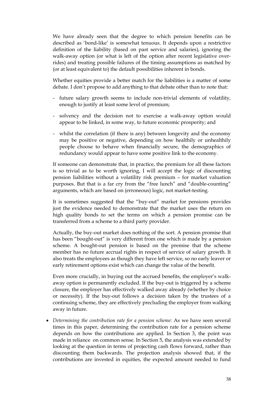We have already seen that the degree to which pension benefits can be described as 'bond-like' is somewhat tenuous. It depends upon a restrictive definition of the liability (based on past service and salaries), ignoring the walk-away option (or what is left of the option after recent legislative overrides) and treating possible failures of the timing assumptions as matched by (or at least equivalent to) the default possibilities inherent in bonds.

 Whether equities provide a better match for the liabilities is a matter of some debate. I don't propose to add anything to that debate other than to note that:

- future salary growth seems to include non-trivial elements of volatility, enough to justify at least some level of premium;
- solvency and the decision not to exercise a walk-away option would appear to be linked, in some way, to future economic prosperity; and
- whilst the correlation (if there is any) between longevity and the economy may be positive or negative, depending on how healthily or unhealthily people choose to behave when financially secure, the demographics of redundancy would appear to have some positive link to the economy.

 If someone can demonstrate that, in practice, the premium for all these factors is so trivial as to be worth ignoring, I will accept the logic of discounting pension liabilities without a volatility risk premium – for market valuation purposes. But that is a far cry from the "free lunch" and "double-counting" arguments, which are based on (erroneous) logic, not market-testing.

 It is sometimes suggested that the "buy-out" market for pensions provides just the evidence needed to demonstrate that the market uses the return on high quality bonds to set the terms on which a pension promise can be transferred from a scheme to a third party provider.

 Actually, the buy-out market does nothing of the sort. A pension promise that has been "bought-out" is very different from one which is made by a pension scheme. A bought-out pension is based on the premise that the scheme member has no future accrual rights in respect of service of salary growth. It also treats the employees as though they have left service, so no early leaver or early retirement options exist which can change the value of the benefit.

 Even more crucially, in buying out the accrued benefits, the employer's walkaway option is permanently excluded. If the buy-out is triggered by a scheme closure, the employer has effectively walked away already (whether by choice or necessity). If the buy-out follows a decision taken by the trustees of a continuing scheme, they are effectively precluding the employer from walking away in future.

• Determining the contribution rate for a pension scheme: As we have seen several times in this paper, determining the contribution rate for a pension scheme depends on how the contributions are applied. In Section 3, the point was made in reliance on common sense. In Section 5, the analysis was extended by looking at the question in terms of projecting cash flows forward, rather than discounting them backwards. The projection analysis showed that, if the contributions are invested in equities, the expected amount needed to fund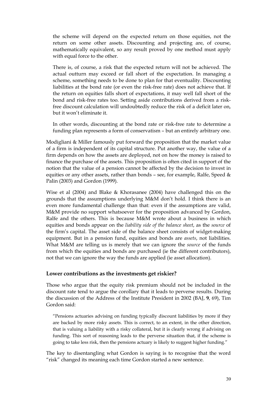the scheme will depend on the expected return on those equities, not the return on some other assets. Discounting and projecting are, of course, mathematically equivalent, so any result proved by one method must apply with equal force to the other.

 There is, of course, a risk that the expected return will not be achieved. The actual outturn may exceed or fall short of the expectation. In managing a scheme, something needs to be done to plan for that eventuality. Discounting liabilities at the bond rate (or even the risk-free rate) does not achieve that. If the return on equities falls short of expectations, it may well fall short of the bond and risk-free rates too. Setting aside contributions derived from a riskfree discount calculation will undoubtedly reduce the risk of a deficit later on, but it won't eliminate it.

 In other words, discounting at the bond rate or risk-free rate to determine a funding plan represents a form of conservatism – but an entirely arbitrary one.

Modigliani & Miller famously put forward the proposition that the market value of a firm is independent of its capital structure. Put another way, the value of a firm depends on how the assets are deployed, not on how the money is raised to finance the purchase of the assets. This proposition is often cited in support of the notion that the value of a pension cannot be affected by the decision to invest in equities or any other assets, rather than bonds - see, for example, Ralfe, Speed  $\&$ Palin (2003) and Gordon (1999).

Wise et al (2004) and Blake & Khorasanee (2004) have challenged this on the grounds that the assumptions underlying M&M don't hold. I think there is an even more fundamental challenge than that: even if the assumptions are valid, M&M provide no support whatsoever for the proposition advanced by Gordon, Ralfe and the others. This is because M&M wrote about a business in which equities and bonds appear on the *liability side of the balance sheet*, as the *source* of the firm's capital. The asset side of the balance sheet consists of widget-making equipment. But in a pension fund, equities and bonds are *assets*, not liabilities. What M&M are telling us is merely that we can ignore the *source* of the funds from which the equities and bonds are purchased (ie the different contributors), not that we can ignore the way the funds are applied (ie asset allocation).

#### **Lower contributions as the investments get riskier?**

Those who argue that the equity risk premium should not be included in the discount rate tend to argue the corollary that it leads to perverse results. During the discussion of the Address of the Institute President in 2002 (BAJ, **9**, 69), Tim Gordon said:

"Pensions actuaries advising on funding typically discount liabilities by more if they are backed by more risky assets. This is correct, to an extent, in the other direction, that is valuing a liability with a risky collateral, but it is clearly wrong if advising on funding. This sort of reasoning leads to the perverse situation that, if the scheme is going to take less risk, then the pensions actuary is likely to suggest higher funding."

The key to disentangling what Gordon is saying is to recognise that the word "risk" changed its meaning each time Gordon started a new sentence.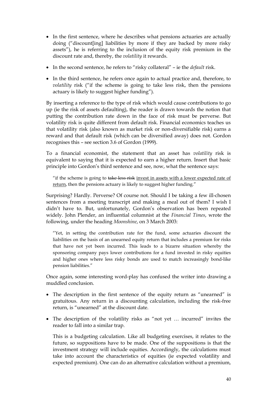- In the first sentence, where he describes what pensions actuaries are actually doing ("discount[ing] liabilities by more if they are backed by more risky assets"), he is referring to the inclusion of the equity risk premium in the discount rate and, thereby, the *volatility* it rewards.
- In the second sentence, he refers to "risky collateral" ie the *default* risk.
- In the third sentence, he refers once again to actual practice and, therefore, to *volatility* risk ("if the scheme is going to take less risk, then the pensions actuary is likely to suggest higher funding").

By inserting a reference to the type of risk which would cause contributions to go up (ie the risk of assets defaulting), the reader is drawn towards the notion that putting the contribution rate down in the face of risk must be perverse. But volatility risk is quite different from default risk. Financial economics teaches us that volatility risk (also known as market risk or non-diversifiable risk) earns a reward and that default risk (which can be diversified away) does not. Gordon recognises this – see section 3.6 of Gordon (1999).

To a financial economist, the statement that an asset has *volatility* risk is equivalent to saying that it is expected to earn a higher return. Insert that basic principle into Gordon's third sentence and see, now, what the sentence says:

"if the scheme is going to take less risk invest in assets with a lower expected rate of return, then the pensions actuary is likely to suggest higher funding."

Surprising? Hardly. Perverse? Of course not. Should I be taking a few ill-chosen sentences from a meeting transcript and making a meal out of them? I wish I didn't have to. But, unfortunately, Gordon's observation has been repeated widely. John Plender, an influential columnist at the *Financial Times*, wrote the following, under the heading *Moonshine*, on 3 March 2003:

"Yet, in setting the contribution rate for the fund, some actuaries discount the liabilities on the basis of an unearned equity return that includes a premium for risks that have not yet been incurred. This leads to a bizarre situation whereby the sponsoring company pays lower contributions for a fund invested in risky equities and higher ones where less risky bonds are used to match increasingly bond-like pension liabilities."

Once again, some interesting word-play has confused the writer into drawing a muddled conclusion.

- The description in the first sentence of the equity return as "unearned" is gratuitous. Any return in a discounting calculation, including the risk-free return, is "unearned" at the discount date.
- The description of the volatility risks as "not yet … incurred" invites the reader to fall into a similar trap.

 This is a budgeting calculation. Like all budgeting exercises, it relates to the future, so suppositions have to be made. One of the suppositions is that the investment strategy will include equities. Accordingly, the calculations must take into account the characteristics of equities (ie expected volatility and expected premium). One can do an alternative calculation without a premium,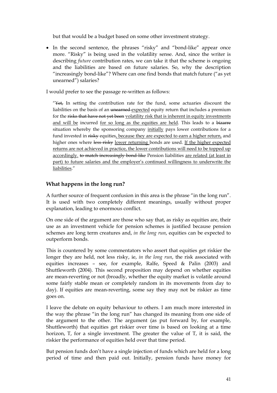but that would be a budget based on some other investment strategy.

• In the second sentence, the phrases "risky" and "bond-like" appear once more. "Risky" is being used in the volatility sense. And, since the writer is describing *future* contribution rates, we can take it that the scheme is ongoing and the liabilities are based on future salaries. So, why the description "increasingly bond-like"? Where can one find bonds that match future ("as yet unearned") salaries?

I would prefer to see the passage re-written as follows:

 $\sqrt[4]{2}$  In setting the contribution rate for the fund, some actuaries discount the liabilities on the basis of an unearned expected equity return that includes a premium for the risks that have not yet been volatility risk that is inherent in equity investments and will be incurred for so long as the equities are held. This leads to a bizarre situation whereby the sponsoring company initially pays lower contributions for a fund invested in risky equities, because they are expected to earn a higher return, and higher ones where less risky lower returning bonds are used. If the higher expected returns are not achieved in practice, the lower contributions will need to be topped up accordingly. to match increasingly bond like Pension liabilities are related (at least in part) to future salaries and the employer's continued willingness to underwrite the liabilities."

#### **What happens in the long run?**

A further source of frequent confusion in this area is the phrase "in the long run". It is used with two completely different meanings, usually without proper explanation, leading to enormous conflict.

On one side of the argument are those who say that, as risky as equities are, their use as an investment vehicle for pension schemes is justified because pension schemes are long term creatures and, *in the long run*, equities can be expected to outperform bonds.

This is countered by some commentators who assert that equities get riskier the longer they are held, not less risky, ie, *in the long run*, the risk associated with equities increases – see, for example, Ralfe, Speed & Palin (2003) and Shuttleworth (2004). This second proposition may depend on whether equities are mean-reverting or not (broadly, whether the equity market is volatile around some fairly stable mean or completely random in its movements from day to day). If equities are mean-reverting, some say they may not be riskier as time goes on.

I leave the debate on equity behaviour to others. I am much more interested in the way the phrase "in the long run" has changed its meaning from one side of the argument to the other. The argument (as put forward by, for example, Shuttleworth) that equities get riskier over time is based on looking at a time horizon, T, for a single investment. The greater the value of T, it is said, the riskier the performance of equities held over that time period.

But pension funds don't have a single injection of funds which are held for a long period of time and then paid out. Initially, pension funds have money for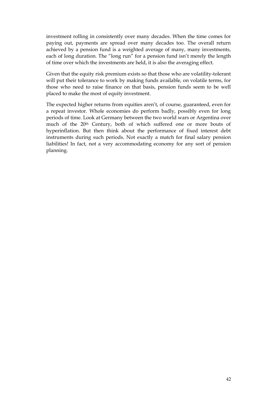investment rolling in consistently over many decades. When the time comes for paying out, payments are spread over many decades too. The overall return achieved by a pension fund is a weighted average of many, many investments, each of long duration. The "long run" for a pension fund isn't merely the length of time over which the investments are held, it is also the averaging effect.

Given that the equity risk premium exists so that those who are volatility-tolerant will put their tolerance to work by making funds available, on volatile terms, for those who need to raise finance on that basis, pension funds seem to be well placed to make the most of equity investment.

The expected higher returns from equities aren't, of course, guaranteed, even for a repeat investor. Whole economies do perform badly, possibly even for long periods of time. Look at Germany between the two world wars or Argentina over much of the 20th Century, both of which suffered one or more bouts of hyperinflation. But then think about the performance of fixed interest debt instruments during such periods. Not exactly a match for final salary pension liabilities! In fact, not a very accommodating economy for any sort of pension planning.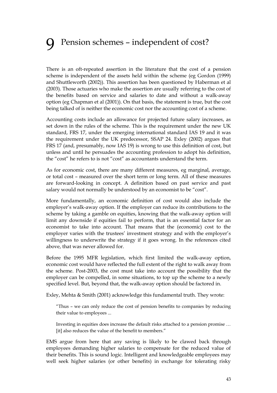## 9 Pension schemes – independent of cost?

There is an oft-repeated assertion in the literature that the cost of a pension scheme is independent of the assets held within the scheme (eg Gordon (1999) and Shuttleworth (2002)). This assertion has been questioned by Haberman et al (2003). Those actuaries who make the assertion are usually referring to the cost of the benefits based on service and salaries to date and without a walk-away option (eg Chapman et al (2001)). On that basis, the statement is true, but the cost being talked of is neither the economic cost nor the accounting cost of a scheme.

Accounting costs include an allowance for projected future salary increases, as set down in the rules of the scheme. This is the requirement under the new UK standard, FRS 17, under the emerging international standard IAS 19 and it was the requirement under the UK predecessor, SSAP 24. Exley (2002) argues that FRS 17 (and, presumably, now IAS 19) is wrong to use this definition of cost, but unless and until he persuades the accounting profession to adopt his definition, the "cost" he refers to is not "cost" as accountants understand the term.

As for economic cost, there are many different measures, eg marginal, average, or total cost – measured over the short term or long term. All of these measures are forward-looking in concept. A definition based on past service and past salary would not normally be understood by an economist to be "cost".

More fundamentally, an economic definition of cost would also include the employer's walk-away option. If the employer can reduce its contributions to the scheme by taking a gamble on equities, knowing that the walk-away option will limit any downside if equities fail to perform, that is an essential factor for an economist to take into account. That means that the (economic) cost to the employer varies with the trustees' investment strategy and with the employer's willingness to underwrite the strategy if it goes wrong. In the references cited above, that was never allowed for.

Before the 1995 MFR legislation, which first limited the walk-away option, economic cost would have reflected the full extent of the right to walk away from the scheme. Post-2003, the cost must take into account the possibility that the employer can be compelled, in some situations, to top up the scheme to a newly specified level. But, beyond that, the walk-away option should be factored in.

Exley, Mehta & Smith (2001) acknowledge this fundamental truth. They wrote:

"Thus – we can only reduce the cost of pension benefits to companies by reducing their value to employees ...

Investing in equities does increase the default risks attached to a pension promise … [it] also reduces the value of the benefit to members."

EMS argue from here that any saving is likely to be clawed back through employees demanding higher salaries to compensate for the reduced value of their benefits. This is sound logic. Intelligent and knowledgeable employees may well seek higher salaries (or other benefits) in exchange for tolerating risky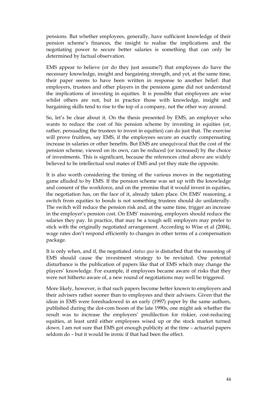pensions. But whether employees, generally, have sufficient knowledge of their pension scheme's finances, the insight to realise the implications and the negotiating power to secure better salaries is something that can only be determined by factual observation.

EMS appear to believe (or do they just assume?) that employees do have the necessary knowledge, insight and bargaining strength, and yet, at the same time, their paper seems to have been written in response to another belief: that employers, trustees and other players in the pensions game did not understand the implications of investing in equities. It is possible that employees are wise whilst others are not, but in practice those with knowledge, insight and bargaining skills tend to rise to the top of a company, not the other way around.

So, let's be clear about it. On the thesis presented by EMS, an employer who wants to reduce the cost of his pension scheme by investing in equities (or, rather, persuading the trustees to invest in equities) can do just that. The exercise will prove fruitless, say EMS, if the employees secure an exactly compensating increase in salaries or other benefits. But EMS are unequivocal that the cost of the pension scheme, viewed on its own, can be reduced (or increased) by the choice of investments. This is significant, because the references cited above are widely believed to be intellectual soul mates of EMS and yet they state the opposite.

It is also worth considering the timing of the various moves in the negotiating game alluded to by EMS. If the pension scheme was set up with the knowledge and consent of the workforce, and on the premise that it would invest in equities, the negotiation has, on the face of it, already taken place. On EMS' reasoning, a switch from equities to bonds is not something trustees should do unilaterally. The switch will reduce the pension risk and, at the same time, trigger an increase in the employer's pension cost. On EMS' reasoning, employers should reduce the salaries they pay. In practice, that may be a tough sell: employers may prefer to stick with the originally negotiated arrangement. According to Wise et al (2004), wage rates don't respond efficiently to changes in other terms of a compensation package.

It is only when, and if, the negotiated *status quo* is disturbed that the reasoning of EMS should cause the investment strategy to be revisited. One potential disturbance is the publication of papers like that of EMS which may change the players' knowledge. For example, if employees became aware of risks that they were not hitherto aware of, a new round of negotiations may well be triggered.

More likely, however, is that such papers become better known to employers and their advisers rather sooner than to employees and their advisers. Given that the ideas in EMS were foreshadowed in an early (1997) paper by the same authors, published during the dot-com boom of the late 1990s, one might ask whether the result was to increase the employers' predilection for riskier, cost-reducing equities, at least until either employees wised up or the stock market turned down. I am not sure that EMS got enough publicity at the time – actuarial papers seldom do – but it would be ironic if that had been the effect.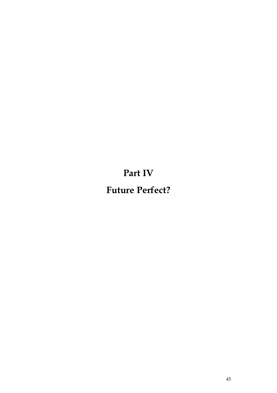**Part IV**

**Future Perfect?**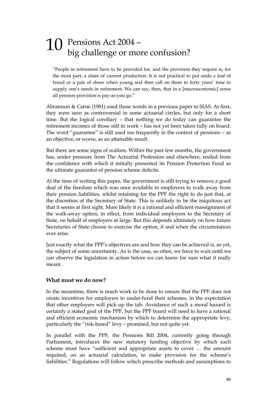### 10 Pensions Act 2004 – big challenge or more confusion?

"People in retirement have to be provided for, and the provision they require is, for the most part, a share of current production. It is not practical to put aside a loaf of bread or a pair of shoes when young and then call on them in forty years' time to supply one's needs in retirement. We can say, then, that in a [macroeconomic] sense all pension provision is pay-as-you go."

Abramson & Carne (1981) used those words in a previous paper to SIAS. At first, they were seen as controversial in some actuarial circles, but only for a short time. But the logical corollary – that nothing we do today can guarantee the retirement incomes of those still in work – has not yet been taken fully on board. The word "guarantee" is still used too frequently in the context of pensions – as an objective, or worse, as an attainable result.

But there are some signs of realism. Within the past few months, the government has, under pressure from The Actuarial Profession and elsewhere, resiled from the confidence with which it initially presented its Pension Protection Fund as the ultimate guarantor of pension scheme deficits.

At the time of writing this paper, the government is still trying to remove a good deal of the freedom which was once available to employers to walk away from their pension liabilities, whilst retaining for the PPF the right to do just that, at the discretion of the Secretary of State. This is unlikely to be the iniquitous act that it seems at first sight. More likely it is a rational and efficient reassignment of the walk-away option, in effect, from individual employers to the Secretary of State, on behalf of employers at large. But this depends ultimately on how future Secretaries of State choose to exercise the option, if and when the circumstances ever arise.

Just exactly what the PPF's objectives are and how they can be achieved is, as yet, the subject of some uncertainty. As is the case, so often, we have to wait until we can observe the legislation in action before we can know for sure what it really meant.

#### **What must we do now?**

In the meantime, there is much work to be done to ensure that the PPF does not create incentives for employers to under-fund their schemes, in the expectation that other employers will pick up the tab. Avoidance of such a moral hazard is certainly a stated goal of the PPF, but the PPF board will need to have a rational and efficient economic mechanism by which to determine the appropriate levy, particularly the "risk-based" levy – promised, but not quite yet.

In parallel with the PPF, the Pensions Bill 2004, currently going through Parliament, introduces the new statutory funding objective by which each scheme must have "sufficient and appropriate assets to cover … the amount required, on an actuarial calculation, to make provision for the scheme's liabilities." Regulations will follow which prescribe methods and assumptions to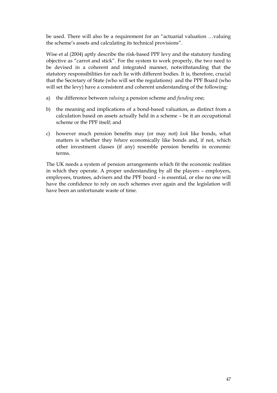be used. There will also be a requirement for an "actuarial valuation …valuing the scheme's assets and calculating its technical provisions".

Wise et al (2004) aptly describe the risk-based PPF levy and the statutory funding objective as "carrot and stick". For the system to work properly, the two need to be devised in a coherent and integrated manner, notwithstanding that the statutory responsibilities for each lie with different bodies. It is, therefore, crucial that the Secretary of State (who will set the regulations) and the PPF Board (who will set the levy) have a consistent and coherent understanding of the following:

- a) the difference between *valuing* a pension scheme and *funding* one;
- b) the meaning and implications of a bond-based valuation, as distinct from a calculation based on assets actually held in a scheme – be it an occupational scheme or the PPF itself; and
- c) however much pension benefits may (or may not) *look* like bonds, what matters is whether they *behave* economically like bonds and, if not, which other investment classes (if any) resemble pension benefits in economic terms.

The UK needs a system of pension arrangements which fit the economic realities in which they operate. A proper understanding by all the players – employers, employees, trustees, advisers and the PPF board – is essential, or else no one will have the confidence to rely on such schemes ever again and the legislation will have been an unfortunate waste of time.